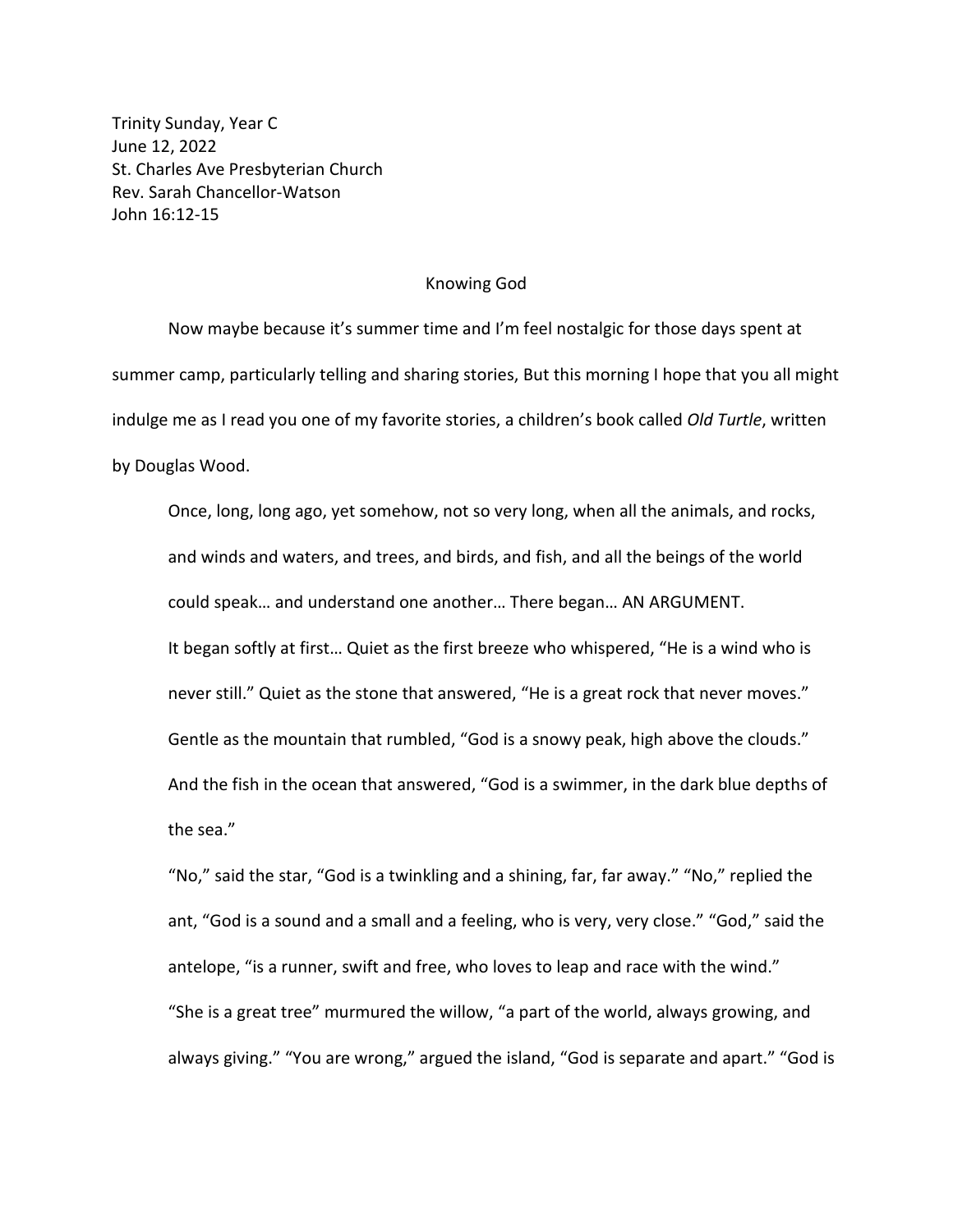Trinity Sunday, Year C June 12, 2022 St. Charles Ave Presbyterian Church Rev. Sarah Chancellor-Watson John 16:12-15

## Knowing God

Now maybe because it's summer time and I'm feel nostalgic for those days spent at summer camp, particularly telling and sharing stories, But this morning I hope that you all might indulge me as I read you one of my favorite stories, a children's book called *Old Turtle*, written by Douglas Wood.

Once, long, long ago, yet somehow, not so very long, when all the animals, and rocks, and winds and waters, and trees, and birds, and fish, and all the beings of the world could speak… and understand one another… There began… AN ARGUMENT. It began softly at first… Quiet as the first breeze who whispered, "He is a wind who is never still." Quiet as the stone that answered, "He is a great rock that never moves." Gentle as the mountain that rumbled, "God is a snowy peak, high above the clouds." And the fish in the ocean that answered, "God is a swimmer, in the dark blue depths of the sea."

"No," said the star, "God is a twinkling and a shining, far, far away." "No," replied the ant, "God is a sound and a small and a feeling, who is very, very close." "God," said the antelope, "is a runner, swift and free, who loves to leap and race with the wind." "She is a great tree" murmured the willow, "a part of the world, always growing, and always giving." "You are wrong," argued the island, "God is separate and apart." "God is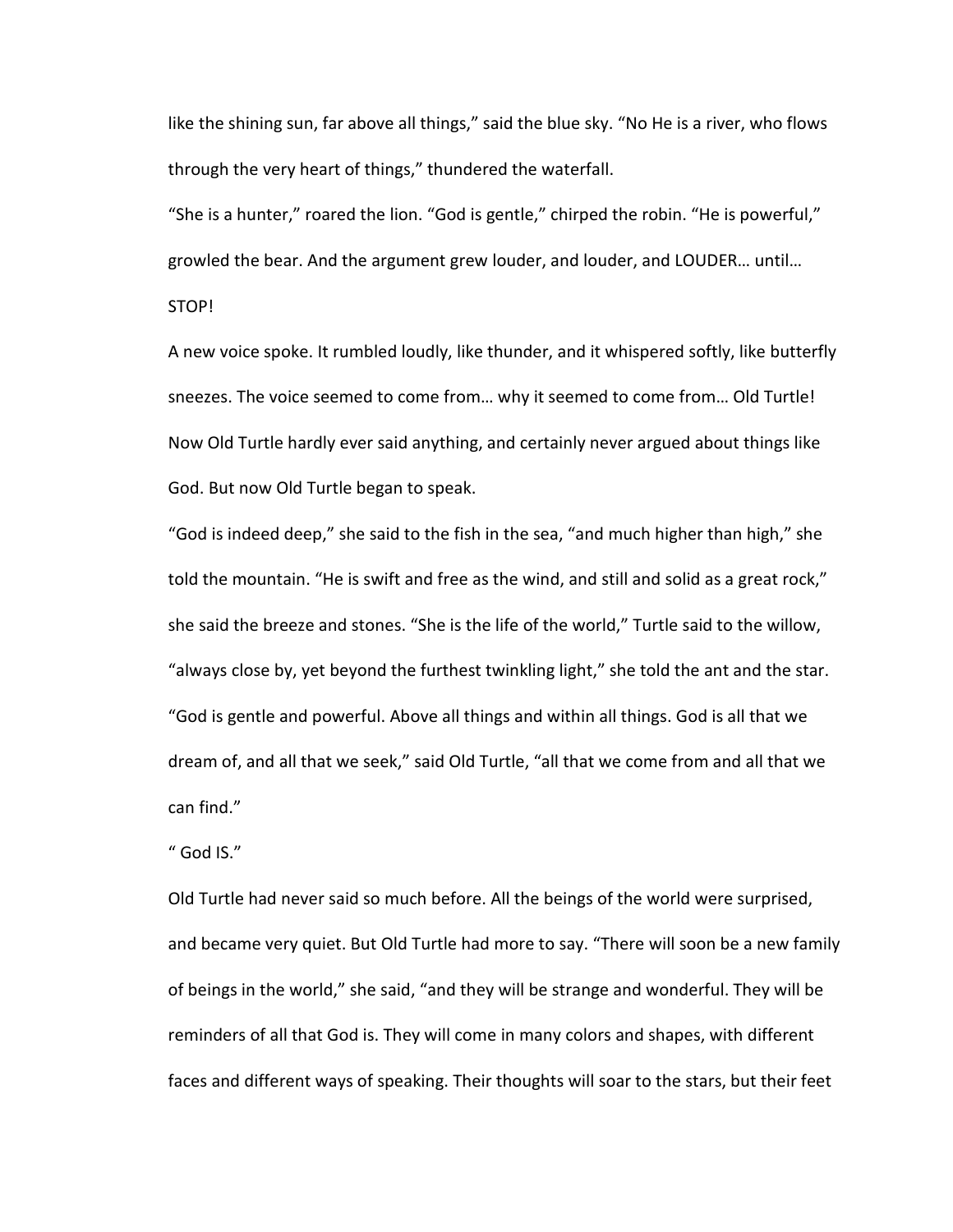like the shining sun, far above all things," said the blue sky. "No He is a river, who flows through the very heart of things," thundered the waterfall.

"She is a hunter," roared the lion. "God is gentle," chirped the robin. "He is powerful," growled the bear. And the argument grew louder, and louder, and LOUDER… until…

STOP!

A new voice spoke. It rumbled loudly, like thunder, and it whispered softly, like butterfly sneezes. The voice seemed to come from… why it seemed to come from… Old Turtle! Now Old Turtle hardly ever said anything, and certainly never argued about things like God. But now Old Turtle began to speak.

"God is indeed deep," she said to the fish in the sea, "and much higher than high," she told the mountain. "He is swift and free as the wind, and still and solid as a great rock," she said the breeze and stones. "She is the life of the world," Turtle said to the willow, "always close by, yet beyond the furthest twinkling light," she told the ant and the star. "God is gentle and powerful. Above all things and within all things. God is all that we dream of, and all that we seek," said Old Turtle, "all that we come from and all that we can find."

" God IS."

Old Turtle had never said so much before. All the beings of the world were surprised, and became very quiet. But Old Turtle had more to say. "There will soon be a new family of beings in the world," she said, "and they will be strange and wonderful. They will be reminders of all that God is. They will come in many colors and shapes, with different faces and different ways of speaking. Their thoughts will soar to the stars, but their feet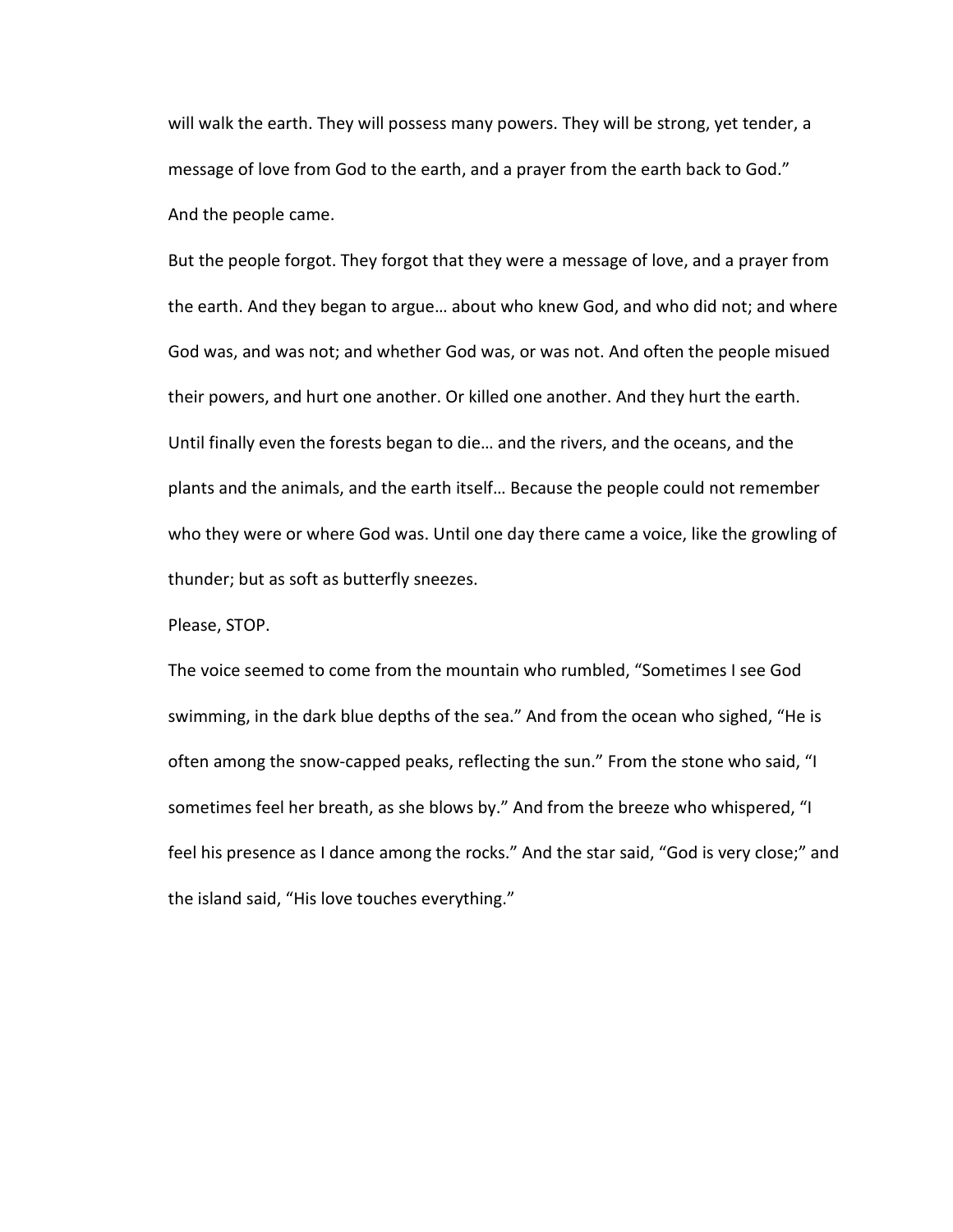will walk the earth. They will possess many powers. They will be strong, yet tender, a message of love from God to the earth, and a prayer from the earth back to God." And the people came.

But the people forgot. They forgot that they were a message of love, and a prayer from the earth. And they began to argue… about who knew God, and who did not; and where God was, and was not; and whether God was, or was not. And often the people misued their powers, and hurt one another. Or killed one another. And they hurt the earth. Until finally even the forests began to die… and the rivers, and the oceans, and the plants and the animals, and the earth itself… Because the people could not remember who they were or where God was. Until one day there came a voice, like the growling of thunder; but as soft as butterfly sneezes.

Please, STOP.

The voice seemed to come from the mountain who rumbled, "Sometimes I see God swimming, in the dark blue depths of the sea." And from the ocean who sighed, "He is often among the snow-capped peaks, reflecting the sun." From the stone who said, "I sometimes feel her breath, as she blows by." And from the breeze who whispered, "I feel his presence as I dance among the rocks." And the star said, "God is very close;" and the island said, "His love touches everything."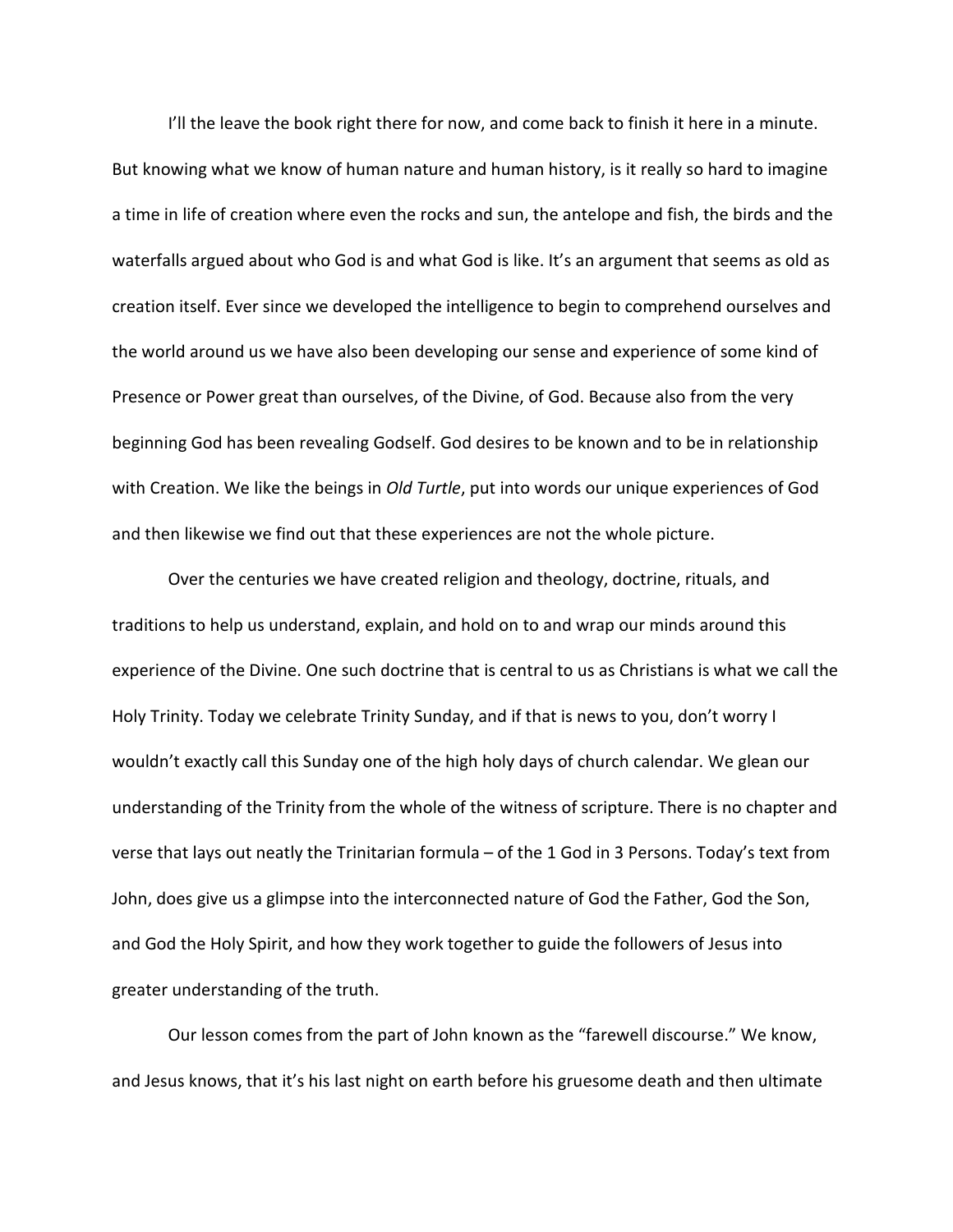I'll the leave the book right there for now, and come back to finish it here in a minute. But knowing what we know of human nature and human history, is it really so hard to imagine a time in life of creation where even the rocks and sun, the antelope and fish, the birds and the waterfalls argued about who God is and what God is like. It's an argument that seems as old as creation itself. Ever since we developed the intelligence to begin to comprehend ourselves and the world around us we have also been developing our sense and experience of some kind of Presence or Power great than ourselves, of the Divine, of God. Because also from the very beginning God has been revealing Godself. God desires to be known and to be in relationship with Creation. We like the beings in *Old Turtle*, put into words our unique experiences of God and then likewise we find out that these experiences are not the whole picture.

Over the centuries we have created religion and theology, doctrine, rituals, and traditions to help us understand, explain, and hold on to and wrap our minds around this experience of the Divine. One such doctrine that is central to us as Christians is what we call the Holy Trinity. Today we celebrate Trinity Sunday, and if that is news to you, don't worry I wouldn't exactly call this Sunday one of the high holy days of church calendar. We glean our understanding of the Trinity from the whole of the witness of scripture. There is no chapter and verse that lays out neatly the Trinitarian formula – of the 1 God in 3 Persons. Today's text from John, does give us a glimpse into the interconnected nature of God the Father, God the Son, and God the Holy Spirit, and how they work together to guide the followers of Jesus into greater understanding of the truth.

Our lesson comes from the part of John known as the "farewell discourse." We know, and Jesus knows, that it's his last night on earth before his gruesome death and then ultimate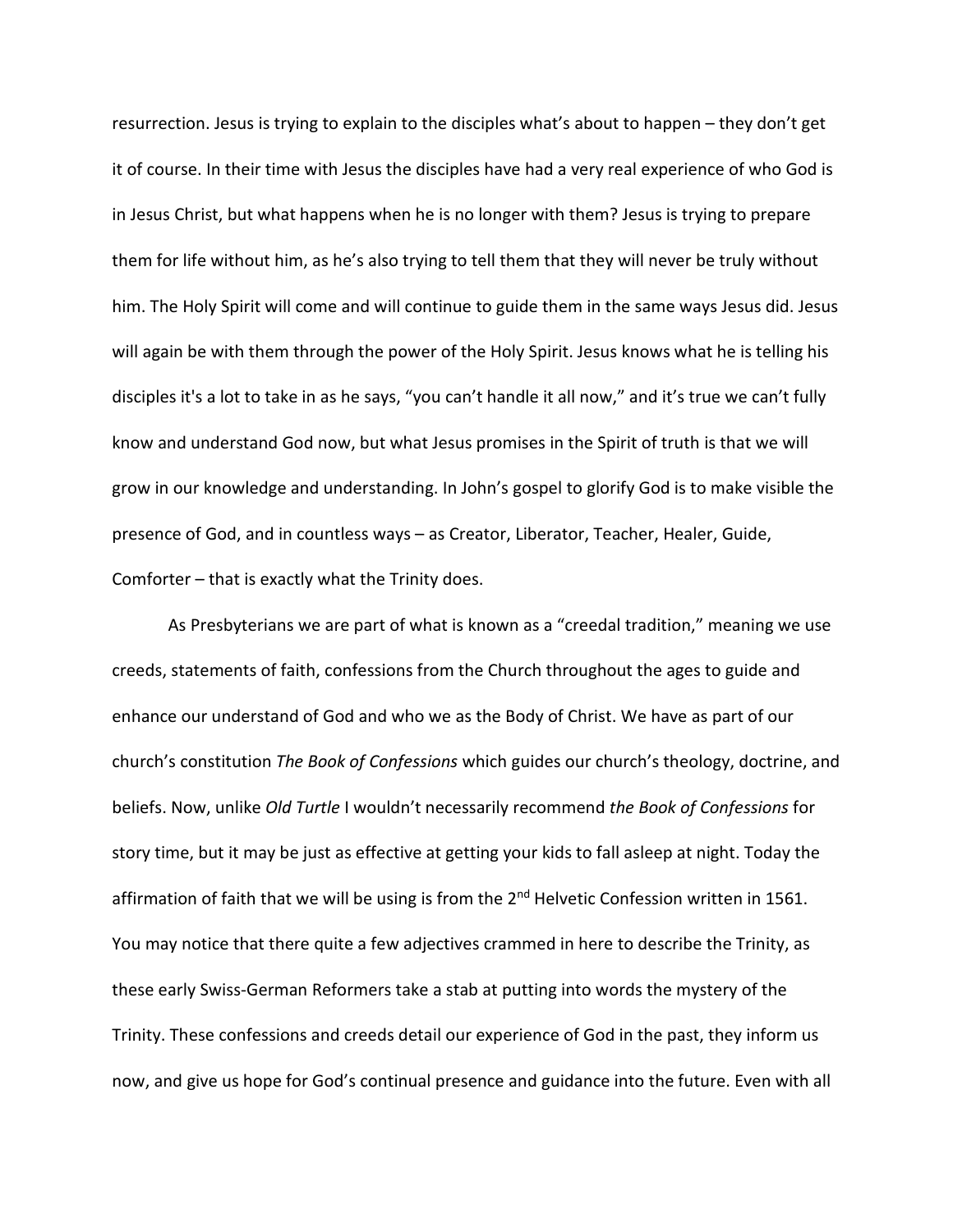resurrection. Jesus is trying to explain to the disciples what's about to happen – they don't get it of course. In their time with Jesus the disciples have had a very real experience of who God is in Jesus Christ, but what happens when he is no longer with them? Jesus is trying to prepare them for life without him, as he's also trying to tell them that they will never be truly without him. The Holy Spirit will come and will continue to guide them in the same ways Jesus did. Jesus will again be with them through the power of the Holy Spirit. Jesus knows what he is telling his disciples it's a lot to take in as he says, "you can't handle it all now," and it's true we can't fully know and understand God now, but what Jesus promises in the Spirit of truth is that we will grow in our knowledge and understanding. In John's gospel to glorify God is to make visible the presence of God, and in countless ways – as Creator, Liberator, Teacher, Healer, Guide, Comforter – that is exactly what the Trinity does.

As Presbyterians we are part of what is known as a "creedal tradition," meaning we use creeds, statements of faith, confessions from the Church throughout the ages to guide and enhance our understand of God and who we as the Body of Christ. We have as part of our church's constitution *The Book of Confessions* which guides our church's theology, doctrine, and beliefs. Now, unlike *Old Turtle* I wouldn't necessarily recommend *the Book of Confessions* for story time, but it may be just as effective at getting your kids to fall asleep at night. Today the affirmation of faith that we will be using is from the 2<sup>nd</sup> Helvetic Confession written in 1561. You may notice that there quite a few adjectives crammed in here to describe the Trinity, as these early Swiss-German Reformers take a stab at putting into words the mystery of the Trinity. These confessions and creeds detail our experience of God in the past, they inform us now, and give us hope for God's continual presence and guidance into the future. Even with all